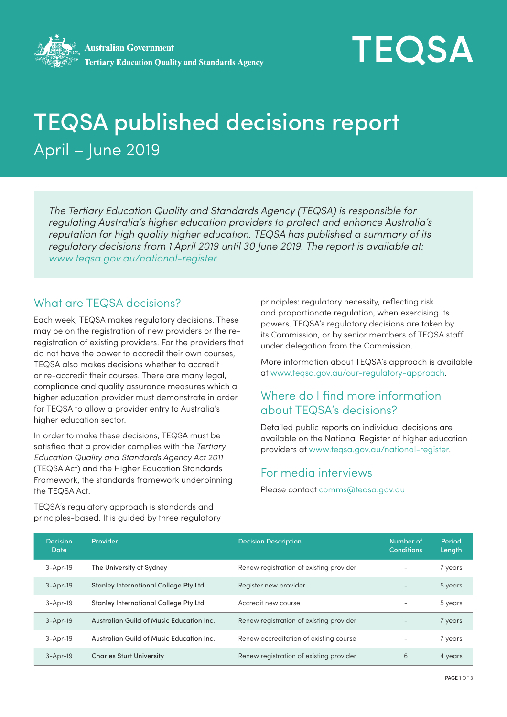# **TEQSA**

## TEQSA published decisions report April – June 2019

*The Tertiary Education Quality and Standards Agency (TEQSA) is responsible for regulating Australia's higher education providers to protect and enhance Australia's reputation for high quality higher education. TEQSA has published a summary of its regulatory decisions from 1 April 2019 until 30 June 2019. The report is available at: www.teqsa.gov.au/national-register*

#### What are TEQSA decisions?

Each week, TEQSA makes regulatory decisions. These may be on the registration of new providers or the reregistration of existing providers. For the providers that do not have the power to accredit their own courses, TEQSA also makes decisions whether to accredit or re-accredit their courses. There are many legal, compliance and quality assurance measures which a higher education provider must demonstrate in order for TEQSA to allow a provider entry to Australia's higher education sector.

In order to make these decisions, TEQSA must be satisfied that a provider complies with the *Tertiary Education Quality and Standards Agency Act 2011*  (TEQSA Act) and the Higher Education Standards Framework, the standards framework underpinning the TEQSA Act.

principles: regulatory necessity, reflecting risk and proportionate regulation, when exercising its powers. TEQSA's regulatory decisions are taken by its Commission, or by senior members of TEQSA staff under delegation from the Commission.

More information about TEQSA's approach is available at www.teqsa.gov.au/our-regulatory-approach.

### Where do I find more information about TEQSA's decisions?

Detailed public reports on individual decisions are available on the National Register of higher education providers at www.teqsa.gov.au/national-register.

#### For media interviews

Please contact comms@teqsa.gov.au

| <b>Decision</b><br>Date | <b>Provider</b>                              | <b>Decision Description</b>             | Number of<br><b>Conditions</b> | Period<br>Length |
|-------------------------|----------------------------------------------|-----------------------------------------|--------------------------------|------------------|
| $3 - Apr-19$            | The University of Sydney                     | Renew registration of existing provider |                                | 7 years          |
| $3 - Apr-19$            | <b>Stanley International College Pty Ltd</b> | Register new provider                   |                                | 5 years          |
| $3 - Apr-19$            | <b>Stanley International College Pty Ltd</b> | Accredit new course                     |                                | 5 years          |
| $3 - Apr-19$            | Australian Guild of Music Education Inc.     | Renew registration of existing provider |                                | 7 years          |
| $3 - Apr-19$            | Australian Guild of Music Education Inc.     | Renew accreditation of existing course  |                                | 7 years          |
| $3 - Apr-19$            | <b>Charles Sturt University</b>              | Renew registration of existing provider | 6                              | 4 years          |

TEQSA's regulatory approach is standards and principles-based. It is guided by three regulatory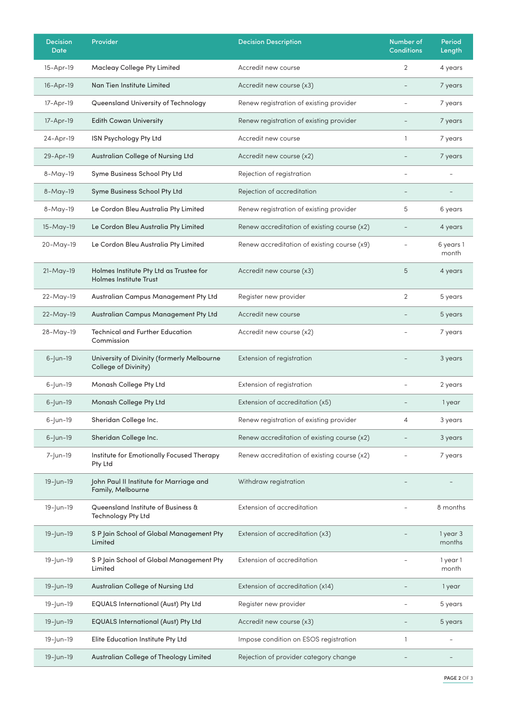| <b>Decision</b><br><b>Date</b> | Provider                                                                 | <b>Decision Description</b>                 | Number of<br><b>Conditions</b> | Period<br>Length   |
|--------------------------------|--------------------------------------------------------------------------|---------------------------------------------|--------------------------------|--------------------|
| 15-Apr-19                      | <b>Macleay College Pty Limited</b>                                       | Accredit new course                         | 2                              | 4 years            |
| 16-Apr-19                      | Nan Tien Institute Limited                                               | Accredit new course (x3)                    |                                | 7 years            |
| 17-Apr-19                      | Queensland University of Technology                                      | Renew registration of existing provider     |                                | 7 years            |
| 17-Apr-19                      | <b>Edith Cowan University</b>                                            | Renew registration of existing provider     |                                | 7 years            |
| 24-Apr-19                      | ISN Psychology Pty Ltd                                                   | Accredit new course                         | $\mathbf{1}$                   | 7 years            |
| 29-Apr-19                      | Australian College of Nursing Ltd                                        | Accredit new course (x2)                    | $\overline{\phantom{0}}$       | 7 years            |
| 8-May-19                       | Syme Business School Pty Ltd                                             | Rejection of registration                   |                                |                    |
| 8-May-19                       | Syme Business School Pty Ltd                                             | Rejection of accreditation                  |                                |                    |
| 8-May-19                       | Le Cordon Bleu Australia Pty Limited                                     | Renew registration of existing provider     | 5                              | 6 years            |
| 15-May-19                      | Le Cordon Bleu Australia Pty Limited                                     | Renew accreditation of existing course (x2) |                                | 4 years            |
| 20-May-19                      | Le Cordon Bleu Australia Pty Limited                                     | Renew accreditation of existing course (x9) | $\overline{\phantom{a}}$       | 6 years 1<br>month |
| $21-May-19$                    | Holmes Institute Pty Ltd as Trustee for<br><b>Holmes Institute Trust</b> | Accredit new course (x3)                    | 5                              | 4 years            |
| 22-May-19                      | Australian Campus Management Pty Ltd                                     | Register new provider                       | $\overline{2}$                 | 5 years            |
| 22-May-19                      | Australian Campus Management Pty Ltd                                     | Accredit new course                         |                                | 5 years            |
| 28-May-19                      | <b>Technical and Further Education</b><br>Commission                     | Accredit new course (x2)                    |                                | 7 years            |
| $6 -$ Jun-19                   | University of Divinity (formerly Melbourne<br>College of Divinity)       | Extension of registration                   |                                | 3 years            |
| $6 -  un - 19$                 | Monash College Pty Ltd                                                   | Extension of registration                   |                                | 2 years            |
| $6 -  un - 19$                 | Monash College Pty Ltd                                                   | Extension of accreditation (x5)             |                                | 1 year             |
| $6 -  un - 19$                 | Sheridan College Inc.                                                    | Renew registration of existing provider     | $\overline{4}$                 | 3 years            |
| $6 - \mu - 19$                 | Sheridan College Inc.                                                    | Renew accreditation of existing course (x2) |                                | 3 years            |
| 7-Jun-19                       | Institute for Emotionally Focused Therapy<br>Pty Ltd                     | Renew accreditation of existing course (x2) |                                | 7 years            |
| 19-Jun-19                      | John Paul II Institute for Marriage and<br>Family, Melbourne             | Withdraw registration                       |                                |                    |
| 19-Jun-19                      | Queensland Institute of Business &<br>Technology Pty Ltd                 | Extension of accreditation                  |                                | 8 months           |
| 19-Jun-19                      | S P Jain School of Global Management Pty<br>Limited                      | Extension of accreditation (x3)             |                                | 1 year 3<br>months |
| 19-Jun-19                      | S P Jain School of Global Management Pty<br>Limited                      | Extension of accreditation                  |                                | 1 year 1<br>month  |
| 19-Jun-19                      | Australian College of Nursing Ltd                                        | Extension of accreditation (x14)            |                                | 1 year             |
| 19-Jun-19                      | <b>EQUALS International (Aust) Pty Ltd</b>                               | Register new provider                       |                                | 5 years            |
| 19-Jun-19                      | <b>EQUALS International (Aust) Pty Ltd</b>                               | Accredit new course (x3)                    |                                | 5 years            |
| 19-Jun-19                      | Elite Education Institute Pty Ltd                                        | Impose condition on ESOS registration       | $\mathbf{1}$                   |                    |
| 19-Jun-19                      | Australian College of Theology Limited                                   | Rejection of provider category change       |                                |                    |